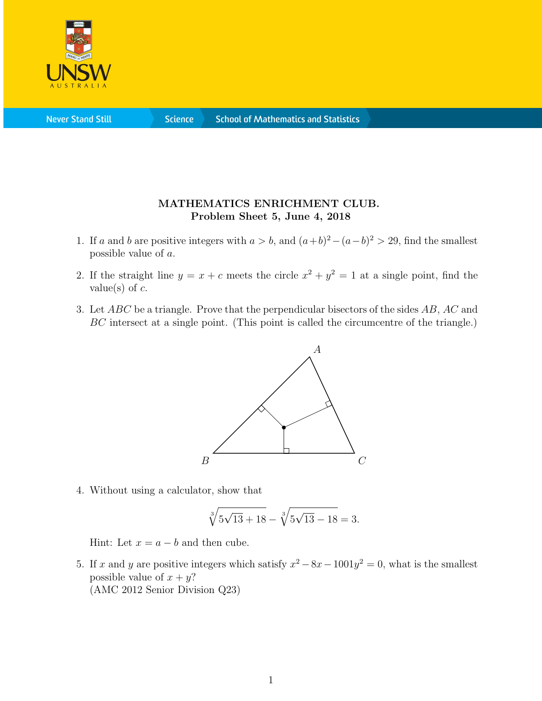

**Science** 

## MATHEMATICS ENRICHMENT CLUB. Problem Sheet 5, June 4, 2018

- 1. If a and b are positive integers with  $a > b$ , and  $(a+b)^2 (a-b)^2 > 29$ , find the smallest possible value of a.
- 2. If the straight line  $y = x + c$  meets the circle  $x^2 + y^2 = 1$  at a single point, find the value(s) of  $c$ .
- 3. Let ABC be a triangle. Prove that the perpendicular bisectors of the sides AB, AC and BC intersect at a single point. (This point is called the circumcentre of the triangle.)



4. Without using a calculator, show that

$$
\sqrt[3]{5\sqrt{13}+18} - \sqrt[3]{5\sqrt{13}-18} = 3.
$$

Hint: Let  $x = a - b$  and then cube.

5. If x and y are positive integers which satisfy  $x^2 - 8x - 1001y^2 = 0$ , what is the smallest possible value of  $x + y$ ? (AMC 2012 Senior Division Q23)